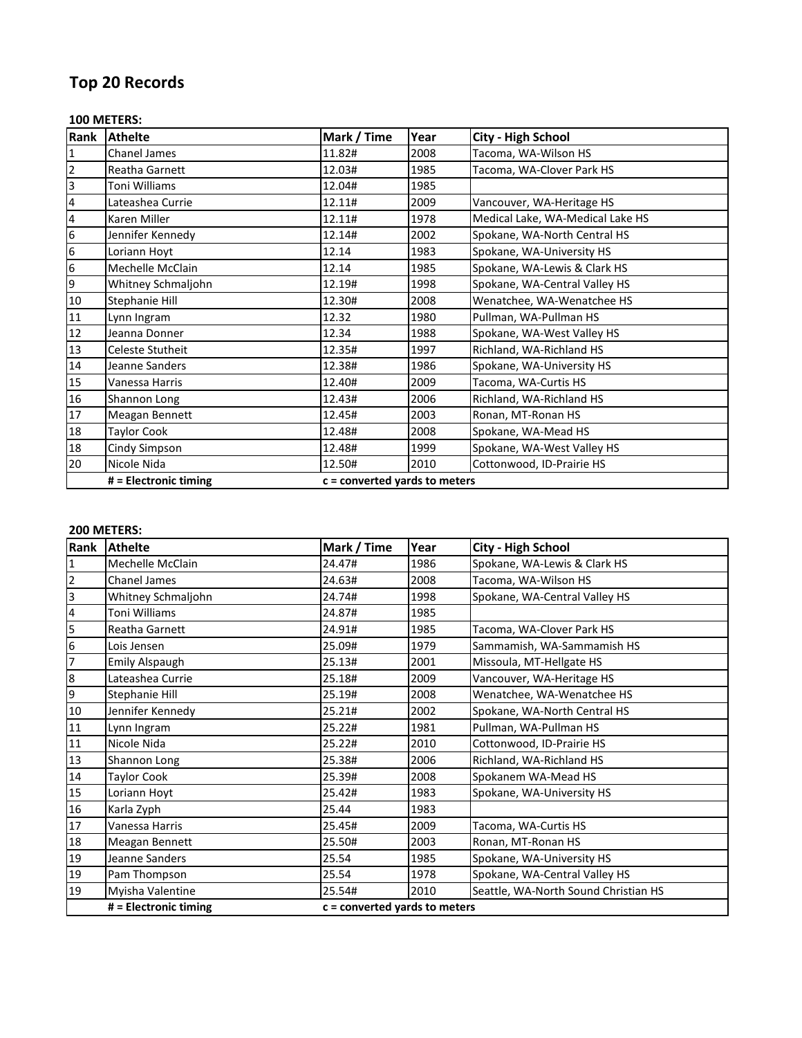# **Top 20 Records**

#### **100 METERS:**

| Rank                    | <b>Athelte</b>          | Mark / Time | Year                            | City - High School               |  |
|-------------------------|-------------------------|-------------|---------------------------------|----------------------------------|--|
| $\overline{\mathbf{1}}$ | Chanel James            | 11.82#      | 2008                            | Tacoma, WA-Wilson HS             |  |
| $\overline{2}$          | Reatha Garnett          | 12.03#      | 1985                            | Tacoma, WA-Clover Park HS        |  |
| 3                       | Toni Williams           | 12.04#      | 1985                            |                                  |  |
| 4                       | Lateashea Currie        | 12.11#      | 2009                            | Vancouver, WA-Heritage HS        |  |
| $\overline{4}$          | Karen Miller            | 12.11#      | 1978                            | Medical Lake, WA-Medical Lake HS |  |
| $6\phantom{.}6$         | Jennifer Kennedy        | 12.14#      | 2002                            | Spokane, WA-North Central HS     |  |
| $6\phantom{.}6$         | Loriann Hoyt            | 12.14       | 1983                            | Spokane, WA-University HS        |  |
| $6\overline{6}$         | Mechelle McClain        | 12.14       | 1985                            | Spokane, WA-Lewis & Clark HS     |  |
| 9                       | Whitney Schmaljohn      | 12.19#      | 1998                            | Spokane, WA-Central Valley HS    |  |
| 10                      | Stephanie Hill          | 12.30#      | 2008                            | Wenatchee, WA-Wenatchee HS       |  |
| 11                      | Lynn Ingram             | 12.32       | 1980                            | Pullman, WA-Pullman HS           |  |
| 12                      | Jeanna Donner           | 12.34       | 1988                            | Spokane, WA-West Valley HS       |  |
| 13                      | Celeste Stutheit        | 12.35#      | 1997                            | Richland, WA-Richland HS         |  |
| 14                      | Jeanne Sanders          | 12.38#      | 1986                            | Spokane, WA-University HS        |  |
| 15                      | Vanessa Harris          | 12.40#      | 2009                            | Tacoma, WA-Curtis HS             |  |
| 16                      | Shannon Long            | 12.43#      | 2006                            | Richland, WA-Richland HS         |  |
| 17                      | Meagan Bennett          | 12.45#      | 2003                            | Ronan, MT-Ronan HS               |  |
| 18                      | Taylor Cook             | 12.48#      | 2008                            | Spokane, WA-Mead HS              |  |
| 18                      | Cindy Simpson           | 12.48#      | 1999                            | Spokane, WA-West Valley HS       |  |
| 20                      | Nicole Nida             | 12.50#      | 2010                            | Cottonwood, ID-Prairie HS        |  |
|                         | $#$ = Electronic timing |             | $c =$ converted yards to meters |                                  |  |

| Rank            | <b>Athelte</b>          | Mark / Time                     | Year | <b>City - High School</b>            |
|-----------------|-------------------------|---------------------------------|------|--------------------------------------|
| I1              | Mechelle McClain        | 24.47#                          | 1986 | Spokane, WA-Lewis & Clark HS         |
| $\overline{2}$  | <b>Chanel James</b>     | 24.63#                          | 2008 | Tacoma, WA-Wilson HS                 |
| $\overline{3}$  | Whitney Schmaljohn      | 24.74#                          | 1998 | Spokane, WA-Central Valley HS        |
| $\overline{4}$  | Toni Williams           | 24.87#                          | 1985 |                                      |
| 5               | Reatha Garnett          | 24.91#                          | 1985 | Tacoma, WA-Clover Park HS            |
| $6\phantom{.}6$ | Lois Jensen             | 25.09#                          | 1979 | Sammamish, WA-Sammamish HS           |
| 17              | <b>Emily Alspaugh</b>   | 25.13#                          | 2001 | Missoula, MT-Hellgate HS             |
| 8               | Lateashea Currie        | 25.18#                          | 2009 | Vancouver, WA-Heritage HS            |
| 9               | Stephanie Hill          | 25.19#                          | 2008 | Wenatchee, WA-Wenatchee HS           |
| 10              | Jennifer Kennedy        | 25.21#                          | 2002 | Spokane, WA-North Central HS         |
| 11              | Lynn Ingram             | 25.22#                          | 1981 | Pullman, WA-Pullman HS               |
| 11              | Nicole Nida             | 25.22#                          | 2010 | Cottonwood, ID-Prairie HS            |
| 13              | Shannon Long            | 25.38#                          | 2006 | Richland, WA-Richland HS             |
| 14              | <b>Taylor Cook</b>      | 25.39#                          | 2008 | Spokanem WA-Mead HS                  |
| 15              | Loriann Hoyt            | 25.42#                          | 1983 | Spokane, WA-University HS            |
| 16              | Karla Zyph              | 25.44                           | 1983 |                                      |
| 17              | Vanessa Harris          | 25.45#                          | 2009 | Tacoma, WA-Curtis HS                 |
| 18              | Meagan Bennett          | 25.50#                          | 2003 | Ronan, MT-Ronan HS                   |
| 19              | Jeanne Sanders          | 25.54                           | 1985 | Spokane, WA-University HS            |
| 19              | Pam Thompson            | 25.54                           | 1978 | Spokane, WA-Central Valley HS        |
| 19              | Myisha Valentine        | 25.54#                          | 2010 | Seattle, WA-North Sound Christian HS |
|                 | $#$ = Electronic timing | $c =$ converted yards to meters |      |                                      |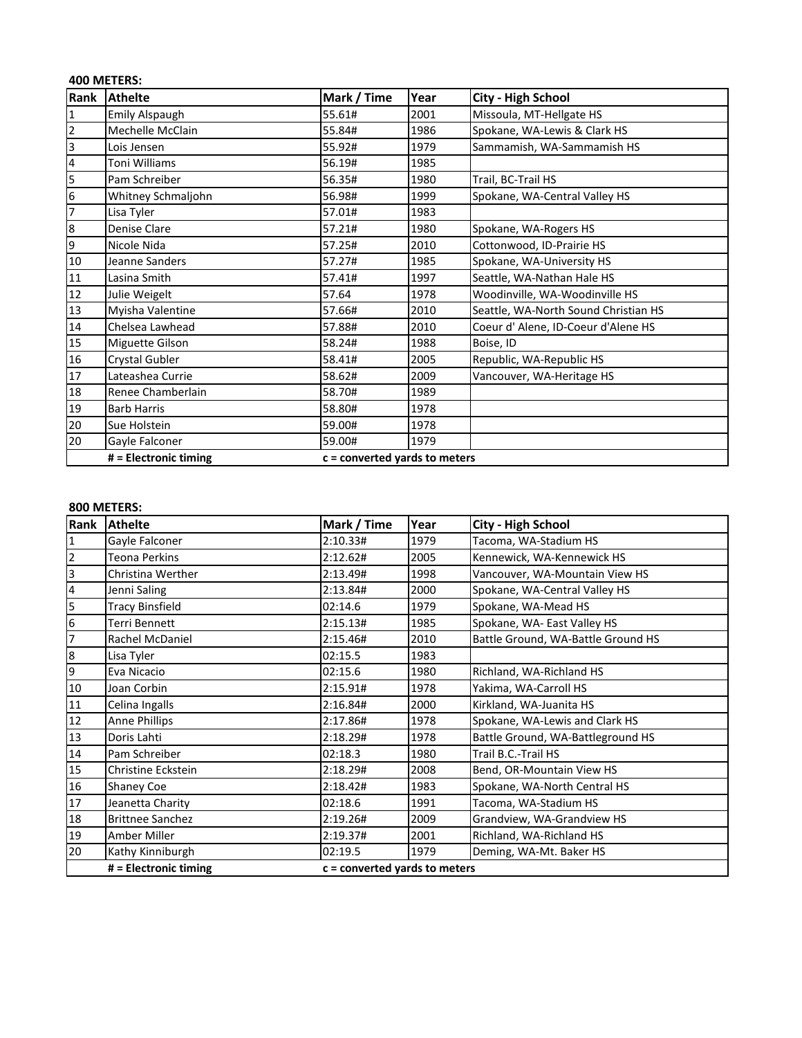## **400 METERS:**

| Rank             | <b>Athelte</b>        | Mark / Time                     | Year | <b>City - High School</b>            |
|------------------|-----------------------|---------------------------------|------|--------------------------------------|
| $\mathbf{1}$     | <b>Emily Alspaugh</b> | 55.61#                          | 2001 | Missoula, MT-Hellgate HS             |
| $\overline{2}$   | Mechelle McClain      | 55.84#                          | 1986 | Spokane, WA-Lewis & Clark HS         |
| 3                | Lois Jensen           | 55.92#                          | 1979 | Sammamish, WA-Sammamish HS           |
| 4                | Toni Williams         | 56.19#                          | 1985 |                                      |
| 5                | Pam Schreiber         | 56.35#                          | 1980 | Trail, BC-Trail HS                   |
| 6                | Whitney Schmaljohn    | 56.98#                          | 1999 | Spokane, WA-Central Valley HS        |
| 7                | Lisa Tyler            | 57.01#                          | 1983 |                                      |
| $\boldsymbol{8}$ | Denise Clare          | 57.21#                          | 1980 | Spokane, WA-Rogers HS                |
| 9                | Nicole Nida           | 57.25#                          | 2010 | Cottonwood, ID-Prairie HS            |
| 10               | Jeanne Sanders        | 57.27#                          | 1985 | Spokane, WA-University HS            |
| 11               | Lasina Smith          | 57.41#                          | 1997 | Seattle, WA-Nathan Hale HS           |
| 12               | Julie Weigelt         | 57.64                           | 1978 | Woodinville, WA-Woodinville HS       |
| 13               | Myisha Valentine      | 57.66#                          | 2010 | Seattle, WA-North Sound Christian HS |
| 14               | Chelsea Lawhead       | 57.88#                          | 2010 | Coeur d' Alene, ID-Coeur d'Alene HS  |
| 15               | Miguette Gilson       | 58.24#                          | 1988 | Boise, ID                            |
| 16               | Crystal Gubler        | 58.41#                          | 2005 | Republic, WA-Republic HS             |
| 17               | Lateashea Currie      | 58.62#                          | 2009 | Vancouver, WA-Heritage HS            |
| 18               | Renee Chamberlain     | 58.70#                          | 1989 |                                      |
| 19               | <b>Barb Harris</b>    | 58.80#                          | 1978 |                                      |
| 20               | Sue Holstein          | 59.00#                          | 1978 |                                      |
| 20               | Gayle Falconer        | 59.00#                          | 1979 |                                      |
|                  | # = Electronic timing | $c =$ converted yards to meters |      |                                      |

| Rank                    | <b>Athelte</b>          | Mark / Time                     | Year | <b>City - High School</b>          |
|-------------------------|-------------------------|---------------------------------|------|------------------------------------|
| $\mathbf{1}$            | Gayle Falconer          | 2:10.33#                        | 1979 | Tacoma, WA-Stadium HS              |
| 2                       | Teona Perkins           | 2:12.62#                        | 2005 | Kennewick, WA-Kennewick HS         |
| $\overline{\mathbf{3}}$ | Christina Werther       | 2:13.49#                        | 1998 | Vancouver, WA-Mountain View HS     |
| $\overline{\mathbf{4}}$ | Jenni Saling            | 2:13.84#                        | 2000 | Spokane, WA-Central Valley HS      |
| 5                       | <b>Tracy Binsfield</b>  | 02:14.6                         | 1979 | Spokane, WA-Mead HS                |
| 6                       | Terri Bennett           | 2:15.13#                        | 1985 | Spokane, WA- East Valley HS        |
| 7                       | Rachel McDaniel         | 2:15.46#                        | 2010 | Battle Ground, WA-Battle Ground HS |
| $\boldsymbol{8}$        | Lisa Tyler              | 02:15.5                         | 1983 |                                    |
| 9                       | Eva Nicacio             | 02:15.6                         | 1980 | Richland, WA-Richland HS           |
| 10                      | Joan Corbin             | 2:15.91#                        | 1978 | Yakima, WA-Carroll HS              |
| 11                      | Celina Ingalls          | 2:16.84#                        | 2000 | Kirkland, WA-Juanita HS            |
| 12                      | Anne Phillips           | 2:17.86#                        | 1978 | Spokane, WA-Lewis and Clark HS     |
| 13                      | Doris Lahti             | 2:18.29#                        | 1978 | Battle Ground, WA-Battleground HS  |
| $14\,$                  | Pam Schreiber           | 02:18.3                         | 1980 | Trail B.C.-Trail HS                |
| 15                      | Christine Eckstein      | 2:18.29#                        | 2008 | Bend, OR-Mountain View HS          |
| 16                      | <b>Shaney Coe</b>       | 2:18.42#                        | 1983 | Spokane, WA-North Central HS       |
| 17                      | Jeanetta Charity        | 02:18.6                         | 1991 | Tacoma, WA-Stadium HS              |
| 18                      | <b>Brittnee Sanchez</b> | 2:19.26#                        | 2009 | Grandview, WA-Grandview HS         |
| 19                      | Amber Miller            | 2:19.37#                        | 2001 | Richland, WA-Richland HS           |
| 20                      | Kathy Kinniburgh        | 02:19.5                         | 1979 | Deming, WA-Mt. Baker HS            |
|                         | # = Electronic timing   | $c =$ converted yards to meters |      |                                    |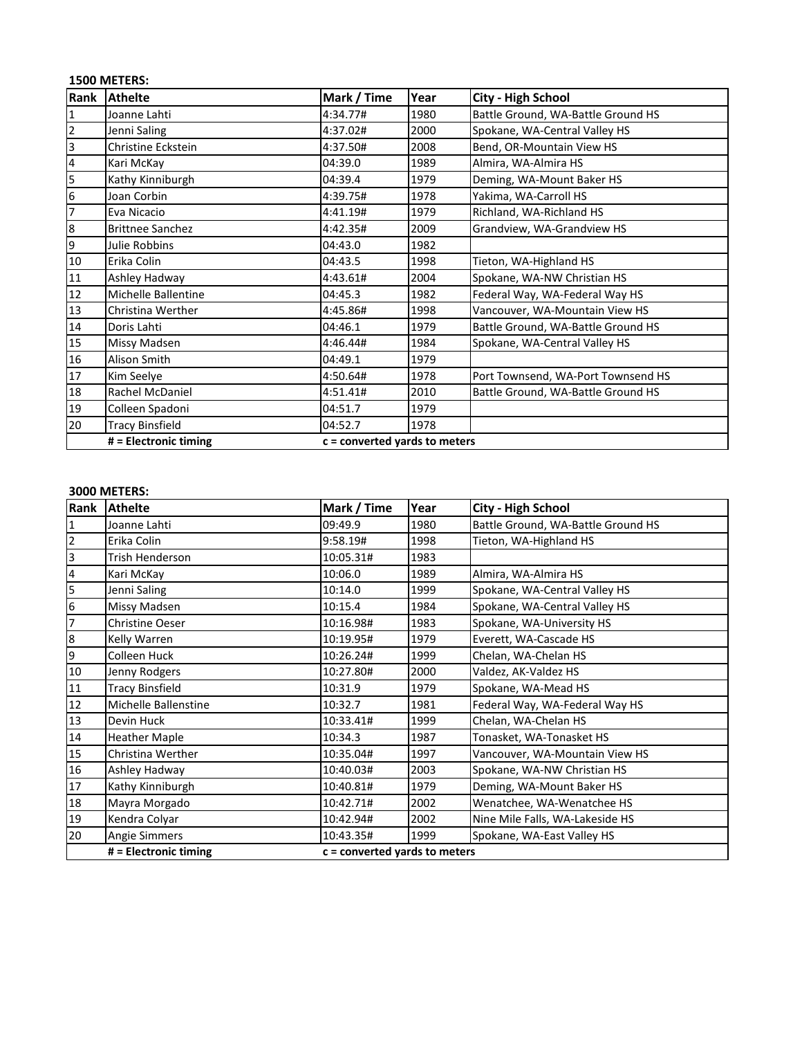## **1500 METERS:**

| Rank                    | <b>Athelte</b>            | Mark / Time                     | Year | City - High School                 |
|-------------------------|---------------------------|---------------------------------|------|------------------------------------|
| $\mathbf{1}$            | Joanne Lahti              | 4:34.77#                        | 1980 | Battle Ground, WA-Battle Ground HS |
| $\mathbf 2$             | Jenni Saling              | 4:37.02#                        | 2000 | Spokane, WA-Central Valley HS      |
| $\overline{\mathbf{3}}$ | <b>Christine Eckstein</b> | 4:37.50#                        | 2008 | Bend, OR-Mountain View HS          |
| $\overline{\mathbf{4}}$ | Kari McKay                | 04:39.0                         | 1989 | Almira, WA-Almira HS               |
| 5                       | Kathy Kinniburgh          | 04:39.4                         | 1979 | Deming, WA-Mount Baker HS          |
| $\boldsymbol{6}$        | Joan Corbin               | 4:39.75#                        | 1978 | Yakima, WA-Carroll HS              |
| $\overline{7}$          | Eva Nicacio               | 4:41.19#                        | 1979 | Richland, WA-Richland HS           |
| $\bf 8$                 | <b>Brittnee Sanchez</b>   | 4:42.35#                        | 2009 | Grandview, WA-Grandview HS         |
| 9                       | Julie Robbins             | 04:43.0                         | 1982 |                                    |
| $10\,$                  | Erika Colin               | 04:43.5                         | 1998 | Tieton, WA-Highland HS             |
| 11                      | Ashley Hadway             | 4:43.61#                        | 2004 | Spokane, WA-NW Christian HS        |
| 12                      | Michelle Ballentine       | 04:45.3                         | 1982 | Federal Way, WA-Federal Way HS     |
| 13                      | Christina Werther         | 4:45.86#                        | 1998 | Vancouver, WA-Mountain View HS     |
| 14                      | Doris Lahti               | 04:46.1                         | 1979 | Battle Ground, WA-Battle Ground HS |
| 15                      | Missy Madsen              | 4:46.44#                        | 1984 | Spokane, WA-Central Valley HS      |
| 16                      | Alison Smith              | 04:49.1                         | 1979 |                                    |
| 17                      | Kim Seelye                | 4:50.64#                        | 1978 | Port Townsend, WA-Port Townsend HS |
| 18                      | Rachel McDaniel           | 4:51.41#                        | 2010 | Battle Ground, WA-Battle Ground HS |
| 19                      | Colleen Spadoni           | 04:51.7                         | 1979 |                                    |
| 20                      | <b>Tracy Binsfield</b>    | 04:52.7                         | 1978 |                                    |
|                         | # = Electronic timing     | $c =$ converted yards to meters |      |                                    |

| Rank            | <b>Athelte</b>         | Mark / Time                     | Year | City - High School                 |
|-----------------|------------------------|---------------------------------|------|------------------------------------|
| $\mathbf{1}$    | Joanne Lahti           | 09:49.9                         | 1980 | Battle Ground, WA-Battle Ground HS |
| $\overline{2}$  | Erika Colin            | 9:58.19#                        | 1998 | Tieton, WA-Highland HS             |
| 3               | Trish Henderson        | 10:05.31#                       | 1983 |                                    |
| 4               | Kari McKay             | 10:06.0                         | 1989 | Almira, WA-Almira HS               |
| 5               | Jenni Saling           | 10:14.0                         | 1999 | Spokane, WA-Central Valley HS      |
| $6\phantom{.}6$ | Missy Madsen           | 10:15.4                         | 1984 | Spokane, WA-Central Valley HS      |
| 7               | <b>Christine Oeser</b> | 10:16.98#                       | 1983 | Spokane, WA-University HS          |
| $\bf 8$         | Kelly Warren           | 10:19.95#                       | 1979 | Everett, WA-Cascade HS             |
| 9               | Colleen Huck           | 10:26.24#                       | 1999 | Chelan, WA-Chelan HS               |
| 10              | Jenny Rodgers          | 10:27.80#                       | 2000 | Valdez, AK-Valdez HS               |
| 11              | <b>Tracy Binsfield</b> | 10:31.9                         | 1979 | Spokane, WA-Mead HS                |
| 12              | Michelle Ballenstine   | 10:32.7                         | 1981 | Federal Way, WA-Federal Way HS     |
| 13              | Devin Huck             | 10:33.41#                       | 1999 | Chelan, WA-Chelan HS               |
| 14              | <b>Heather Maple</b>   | 10:34.3                         | 1987 | Tonasket, WA-Tonasket HS           |
| 15              | Christina Werther      | 10:35.04#                       | 1997 | Vancouver, WA-Mountain View HS     |
| $16\,$          | Ashley Hadway          | 10:40.03#                       | 2003 | Spokane, WA-NW Christian HS        |
| 17              | Kathy Kinniburgh       | 10:40.81#                       | 1979 | Deming, WA-Mount Baker HS          |
| 18              | Mayra Morgado          | 10:42.71#                       | 2002 | Wenatchee, WA-Wenatchee HS         |
| 19              | Kendra Colyar          | 10:42.94#                       | 2002 | Nine Mile Falls, WA-Lakeside HS    |
| 20              | Angie Simmers          | 10:43.35#                       | 1999 | Spokane, WA-East Valley HS         |
|                 | # = Electronic timing  | $c =$ converted yards to meters |      |                                    |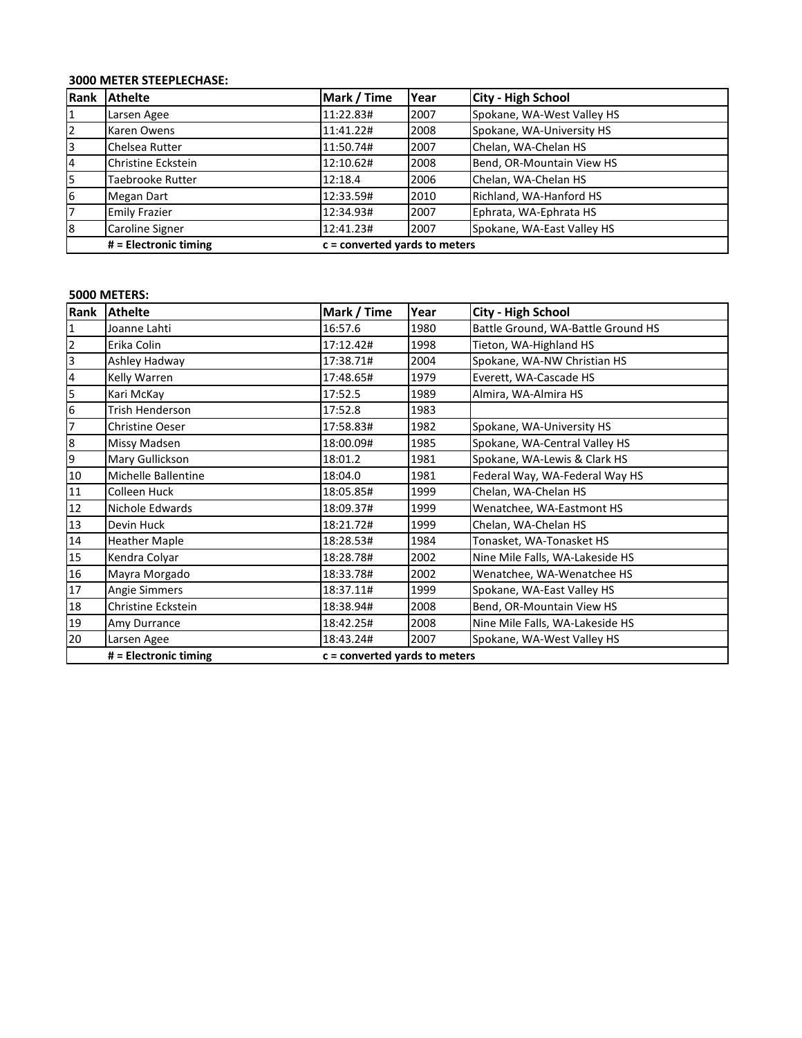## **3000 METER STEEPLECHASE:**

| Rank | <b>Athelte</b>        | Mark / Time                     | Year | <b>City - High School</b>  |
|------|-----------------------|---------------------------------|------|----------------------------|
|      | Larsen Agee           | 11:22.83#                       | 2007 | Spokane, WA-West Valley HS |
| 2    | Karen Owens           | 11:41.22#                       | 2008 | Spokane, WA-University HS  |
| 3    | Chelsea Rutter        | 11:50.74#                       | 2007 | Chelan, WA-Chelan HS       |
| 14   | Christine Eckstein    | 12:10.62#                       | 2008 | Bend, OR-Mountain View HS  |
| l5   | Taebrooke Rutter      | 12:18.4                         | 2006 | Chelan, WA-Chelan HS       |
| 6    | Megan Dart            | 12:33.59#                       | 2010 | Richland, WA-Hanford HS    |
| 17   | <b>Emily Frazier</b>  | 12:34.93#                       | 2007 | Ephrata, WA-Ephrata HS     |
| 8    | Caroline Signer       | 12:41.23#                       | 2007 | Spokane, WA-East Valley HS |
|      | # = Electronic timing | $c =$ converted yards to meters |      |                            |

| Rank                    | <b>Athelte</b>         | Mark / Time | Year                            | <b>City - High School</b>          |  |
|-------------------------|------------------------|-------------|---------------------------------|------------------------------------|--|
| $\overline{1}$          | Joanne Lahti           | 16:57.6     | 1980                            | Battle Ground, WA-Battle Ground HS |  |
| $\overline{2}$          | Erika Colin            | 17:12.42#   | 1998                            | Tieton, WA-Highland HS             |  |
| $\overline{\mathbf{3}}$ | Ashley Hadway          | 17:38.71#   | 2004                            | Spokane, WA-NW Christian HS        |  |
| $\overline{\mathbf{4}}$ | Kelly Warren           | 17:48.65#   | 1979                            | Everett, WA-Cascade HS             |  |
| 5                       | Kari McKay             | 17:52.5     | 1989                            | Almira, WA-Almira HS               |  |
| $\boldsymbol{6}$        | <b>Trish Henderson</b> | 17:52.8     | 1983                            |                                    |  |
| 7                       | <b>Christine Oeser</b> | 17:58.83#   | 1982                            | Spokane, WA-University HS          |  |
| $\boldsymbol{8}$        | Missy Madsen           | 18:00.09#   | 1985                            | Spokane, WA-Central Valley HS      |  |
| 9                       | Mary Gullickson        | 18:01.2     | 1981                            | Spokane, WA-Lewis & Clark HS       |  |
| 10                      | Michelle Ballentine    | 18:04.0     | 1981                            | Federal Way, WA-Federal Way HS     |  |
| 11                      | Colleen Huck           | 18:05.85#   | 1999                            | Chelan, WA-Chelan HS               |  |
| 12                      | Nichole Edwards        | 18:09.37#   | 1999                            | Wenatchee, WA-Eastmont HS          |  |
| 13                      | Devin Huck             | 18:21.72#   | 1999                            | Chelan, WA-Chelan HS               |  |
| 14                      | <b>Heather Maple</b>   | 18:28.53#   | 1984                            | Tonasket, WA-Tonasket HS           |  |
| 15                      | Kendra Colyar          | 18:28.78#   | 2002                            | Nine Mile Falls, WA-Lakeside HS    |  |
| 16                      | Mayra Morgado          | 18:33.78#   | 2002                            | Wenatchee, WA-Wenatchee HS         |  |
| 17                      | <b>Angie Simmers</b>   | 18:37.11#   | 1999                            | Spokane, WA-East Valley HS         |  |
| 18                      | Christine Eckstein     | 18:38.94#   | 2008                            | Bend, OR-Mountain View HS          |  |
| 19                      | Amy Durrance           | 18:42.25#   | 2008                            | Nine Mile Falls, WA-Lakeside HS    |  |
| 20                      | Larsen Agee            | 18:43.24#   | 2007                            | Spokane, WA-West Valley HS         |  |
|                         | # = Electronic timing  |             | $c =$ converted yards to meters |                                    |  |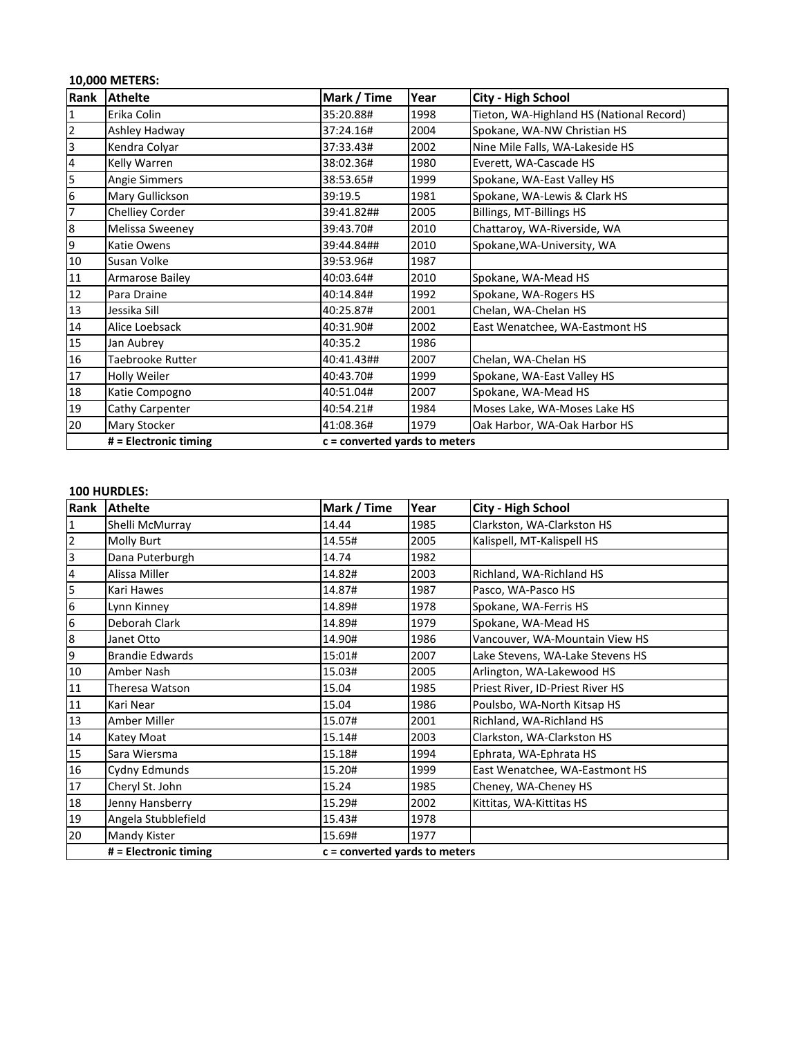## **10,000 METERS:**

| Rank                    | <b>Athelte</b>        | Mark / Time                     | Year | <b>City - High School</b>                |
|-------------------------|-----------------------|---------------------------------|------|------------------------------------------|
| 1                       | Erika Colin           | 35:20.88#                       | 1998 | Tieton, WA-Highland HS (National Record) |
| $\overline{2}$          | Ashley Hadway         | 37:24.16#                       | 2004 | Spokane, WA-NW Christian HS              |
| $\overline{\mathbf{3}}$ | Kendra Colyar         | 37:33.43#                       | 2002 | Nine Mile Falls, WA-Lakeside HS          |
| 4                       | Kelly Warren          | 38:02.36#                       | 1980 | Everett, WA-Cascade HS                   |
| 5                       | Angie Simmers         | 38:53.65#                       | 1999 | Spokane, WA-East Valley HS               |
| $\boldsymbol{6}$        | Mary Gullickson       | 39:19.5                         | 1981 | Spokane, WA-Lewis & Clark HS             |
| $\overline{7}$          | Chelliey Corder       | 39:41.82##                      | 2005 | Billings, MT-Billings HS                 |
| $\boldsymbol{8}$        | Melissa Sweeney       | 39:43.70#                       | 2010 | Chattaroy, WA-Riverside, WA              |
| 9                       | Katie Owens           | 39:44.84##                      | 2010 | Spokane, WA-University, WA               |
| $10\,$                  | Susan Volke           | 39:53.96#                       | 1987 |                                          |
| 11                      | Armarose Bailey       | 40:03.64#                       | 2010 | Spokane, WA-Mead HS                      |
| 12                      | Para Draine           | 40:14.84#                       | 1992 | Spokane, WA-Rogers HS                    |
| 13                      | Jessika Sill          | 40:25.87#                       | 2001 | Chelan, WA-Chelan HS                     |
| 14                      | Alice Loebsack        | 40:31.90#                       | 2002 | East Wenatchee, WA-Eastmont HS           |
| 15                      | Jan Aubrey            | 40:35.2                         | 1986 |                                          |
| 16                      | Taebrooke Rutter      | 40:41.43##                      | 2007 | Chelan, WA-Chelan HS                     |
| 17                      | Holly Weiler          | 40:43.70#                       | 1999 | Spokane, WA-East Valley HS               |
| 18                      | Katie Compogno        | 40:51.04#                       | 2007 | Spokane, WA-Mead HS                      |
| 19                      | Cathy Carpenter       | 40:54.21#                       | 1984 | Moses Lake, WA-Moses Lake HS             |
| 20                      | Mary Stocker          | 41:08.36#                       | 1979 | Oak Harbor, WA-Oak Harbor HS             |
|                         | # = Electronic timing | $c =$ converted yards to meters |      |                                          |

#### **100 HURDLES:**

| Rank                    | <b>Athelte</b>         | Mark / Time                     | Year | <b>City - High School</b>        |
|-------------------------|------------------------|---------------------------------|------|----------------------------------|
| $\mathbf 1$             | Shelli McMurray        | 14.44                           | 1985 | Clarkston, WA-Clarkston HS       |
| $\mathbf 2$             | Molly Burt             | 14.55#                          | 2005 | Kalispell, MT-Kalispell HS       |
| 3                       | Dana Puterburgh        | 14.74                           | 1982 |                                  |
| $\overline{\mathbf{4}}$ | Alissa Miller          | 14.82#                          | 2003 | Richland, WA-Richland HS         |
| 5                       | Kari Hawes             | 14.87#                          | 1987 | Pasco, WA-Pasco HS               |
| $6\phantom{1}6$         | Lynn Kinney            | 14.89#                          | 1978 | Spokane, WA-Ferris HS            |
| $\boldsymbol{6}$        | Deborah Clark          | 14.89#                          | 1979 | Spokane, WA-Mead HS              |
| $8\phantom{.}$          | Janet Otto             | 14.90#                          | 1986 | Vancouver, WA-Mountain View HS   |
| 9                       | <b>Brandie Edwards</b> | 15:01#                          | 2007 | Lake Stevens, WA-Lake Stevens HS |
| 10                      | Amber Nash             | 15.03#                          | 2005 | Arlington, WA-Lakewood HS        |
| 11                      | Theresa Watson         | 15.04                           | 1985 | Priest River, ID-Priest River HS |
| $11\,$                  | Kari Near              | 15.04                           | 1986 | Poulsbo, WA-North Kitsap HS      |
| 13                      | Amber Miller           | 15.07#                          | 2001 | Richland, WA-Richland HS         |
| $14\,$                  | Katey Moat             | 15.14#                          | 2003 | Clarkston, WA-Clarkston HS       |
| 15                      | Sara Wiersma           | 15.18#                          | 1994 | Ephrata, WA-Ephrata HS           |
| $16\,$                  | Cydny Edmunds          | 15.20#                          | 1999 | East Wenatchee, WA-Eastmont HS   |
| 17                      | Cheryl St. John        | 15.24                           | 1985 | Cheney, WA-Cheney HS             |
| 18                      | Jenny Hansberry        | 15.29#                          | 2002 | Kittitas, WA-Kittitas HS         |
| 19                      | Angela Stubblefield    | 15.43#                          | 1978 |                                  |
| 20                      | Mandy Kister           | 15.69#                          | 1977 |                                  |
|                         | # = Electronic timing  | $c =$ converted yards to meters |      |                                  |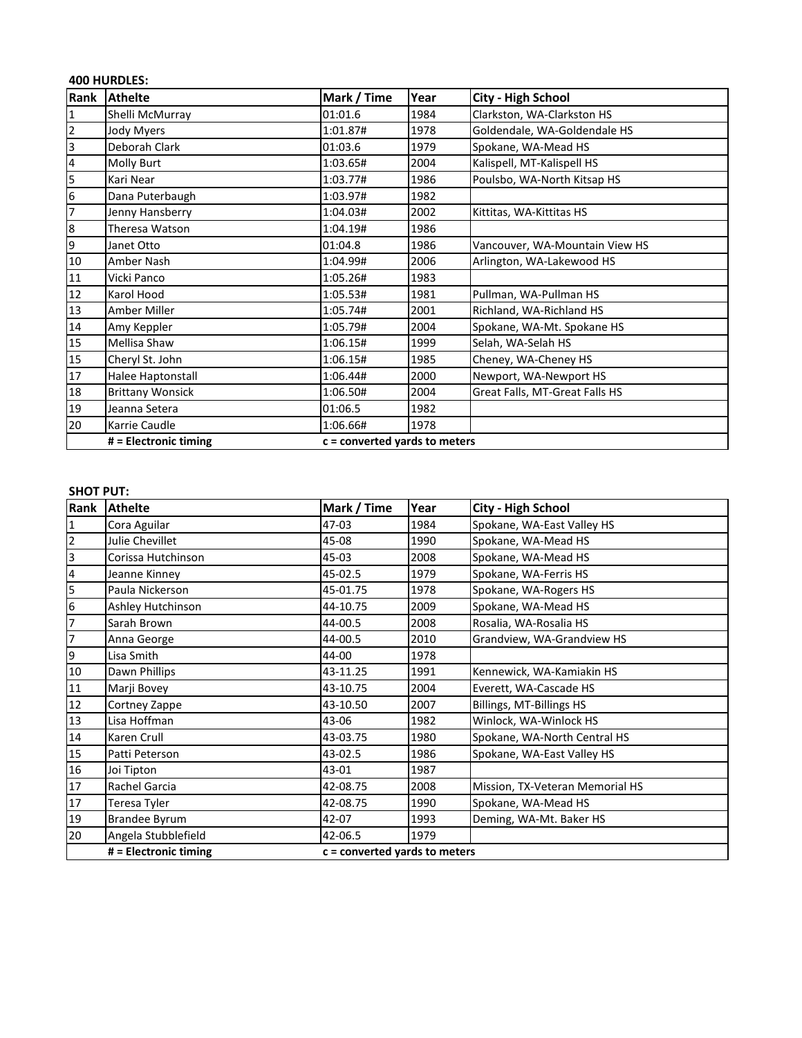|                         | <b>400 HURDLES:</b>     |                                 |      |                                |  |  |
|-------------------------|-------------------------|---------------------------------|------|--------------------------------|--|--|
| Rank                    | <b>Athelte</b>          | Mark / Time                     | Year | City - High School             |  |  |
| 1                       | Shelli McMurray         | 01:01.6                         | 1984 | Clarkston, WA-Clarkston HS     |  |  |
| $\overline{2}$          | Jody Myers              | 1:01.87#                        | 1978 | Goldendale, WA-Goldendale HS   |  |  |
| $\overline{3}$          | Deborah Clark           | 01:03.6                         | 1979 | Spokane, WA-Mead HS            |  |  |
| $\overline{\mathbf{r}}$ | <b>Molly Burt</b>       | 1:03.65#                        | 2004 | Kalispell, MT-Kalispell HS     |  |  |
| 5                       | Kari Near               | 1:03.77#                        | 1986 | Poulsbo, WA-North Kitsap HS    |  |  |
| 6                       | Dana Puterbaugh         | 1:03.97#                        | 1982 |                                |  |  |
| 7                       | Jenny Hansberry         | 1:04.03#                        | 2002 | Kittitas, WA-Kittitas HS       |  |  |
| $\boldsymbol{8}$        | Theresa Watson          | 1:04.19#                        | 1986 |                                |  |  |
| 9                       | Janet Otto              | 01:04.8                         | 1986 | Vancouver, WA-Mountain View HS |  |  |
| 10                      | Amber Nash              | 1:04.99#                        | 2006 | Arlington, WA-Lakewood HS      |  |  |
| 11                      | Vicki Panco             | 1:05.26#                        | 1983 |                                |  |  |
| 12                      | Karol Hood              | 1:05.53#                        | 1981 | Pullman, WA-Pullman HS         |  |  |
| 13                      | Amber Miller            | 1:05.74#                        | 2001 | Richland, WA-Richland HS       |  |  |
| 14                      | Amy Keppler             | 1:05.79#                        | 2004 | Spokane, WA-Mt. Spokane HS     |  |  |
| 15                      | Mellisa Shaw            | 1:06.15#                        | 1999 | Selah, WA-Selah HS             |  |  |
| 15                      | Cheryl St. John         | 1:06.15#                        | 1985 | Cheney, WA-Cheney HS           |  |  |
| 17                      | Halee Haptonstall       | 1:06.44#                        | 2000 | Newport, WA-Newport HS         |  |  |
| 18                      | <b>Brittany Wonsick</b> | 1:06.50#                        | 2004 | Great Falls, MT-Great Falls HS |  |  |
| 19                      | Jeanna Setera           | 01:06.5                         | 1982 |                                |  |  |
| 20                      | Karrie Caudle           | 1:06.66#                        | 1978 |                                |  |  |
|                         | # = Electronic timing   | $c =$ converted yards to meters |      |                                |  |  |

#### **SHOT PUT:**

| Rank                    | <b>Athelte</b>        | Mark / Time                     | Year | City - High School              |
|-------------------------|-----------------------|---------------------------------|------|---------------------------------|
| $\mathbf{1}$            | Cora Aguilar          | 47-03                           | 1984 | Spokane, WA-East Valley HS      |
| $\overline{2}$          | Julie Chevillet       | 45-08                           | 1990 | Spokane, WA-Mead HS             |
| 3                       | Corissa Hutchinson    | 45-03                           | 2008 | Spokane, WA-Mead HS             |
| $\overline{\mathbf{4}}$ | Jeanne Kinney         | 45-02.5                         | 1979 | Spokane, WA-Ferris HS           |
| 5                       | Paula Nickerson       | 45-01.75                        | 1978 | Spokane, WA-Rogers HS           |
| 6                       | Ashley Hutchinson     | 44-10.75                        | 2009 | Spokane, WA-Mead HS             |
| 7                       | Sarah Brown           | 44-00.5                         | 2008 | Rosalia, WA-Rosalia HS          |
| 7                       | Anna George           | 44-00.5                         | 2010 | Grandview, WA-Grandview HS      |
| 9                       | Lisa Smith            | 44-00                           | 1978 |                                 |
| 10                      | Dawn Phillips         | 43-11.25                        | 1991 | Kennewick, WA-Kamiakin HS       |
| 11                      | Marji Bovey           | 43-10.75                        | 2004 | Everett, WA-Cascade HS          |
| 12                      | Cortney Zappe         | 43-10.50                        | 2007 | Billings, MT-Billings HS        |
| 13                      | Lisa Hoffman          | 43-06                           | 1982 | Winlock, WA-Winlock HS          |
| 14                      | Karen Crull           | 43-03.75                        | 1980 | Spokane, WA-North Central HS    |
| 15                      | Patti Peterson        | 43-02.5                         | 1986 | Spokane, WA-East Valley HS      |
| 16                      | Joi Tipton            | 43-01                           | 1987 |                                 |
| 17                      | Rachel Garcia         | 42-08.75                        | 2008 | Mission, TX-Veteran Memorial HS |
| 17                      | Teresa Tyler          | 42-08.75                        | 1990 | Spokane, WA-Mead HS             |
| 19                      | <b>Brandee Byrum</b>  | 42-07                           | 1993 | Deming, WA-Mt. Baker HS         |
| 20                      | Angela Stubblefield   | 42-06.5                         | 1979 |                                 |
|                         | # = Electronic timing | $c =$ converted yards to meters |      |                                 |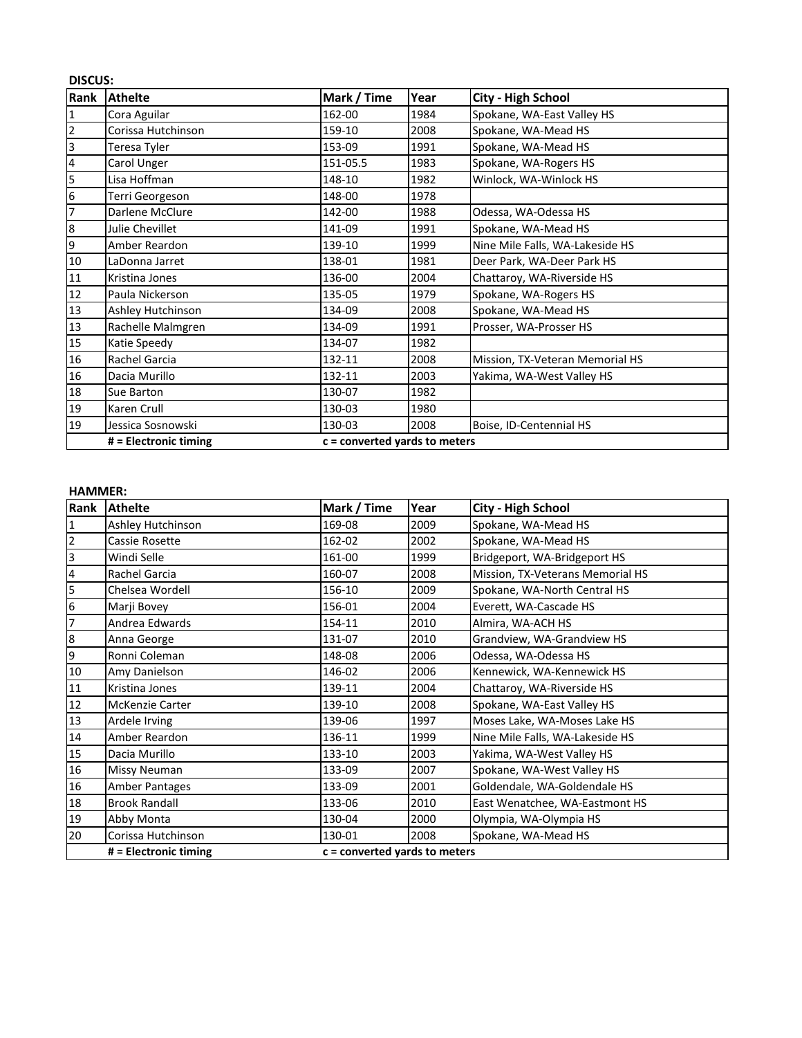|                 | <b>DISCUS:</b>        |                                 |      |                                 |  |  |
|-----------------|-----------------------|---------------------------------|------|---------------------------------|--|--|
| Rank            | <b>Athelte</b>        | Mark / Time                     | Year | City - High School              |  |  |
| 1               | Cora Aguilar          | 162-00                          | 1984 | Spokane, WA-East Valley HS      |  |  |
| $\overline{2}$  | Corissa Hutchinson    | 159-10                          | 2008 | Spokane, WA-Mead HS             |  |  |
| $\overline{3}$  | Teresa Tyler          | 153-09                          | 1991 | Spokane, WA-Mead HS             |  |  |
| 4               | Carol Unger           | 151-05.5                        | 1983 | Spokane, WA-Rogers HS           |  |  |
| 5               | Lisa Hoffman          | 148-10                          | 1982 | Winlock, WA-Winlock HS          |  |  |
| $6\phantom{.}6$ | Terri Georgeson       | 148-00                          | 1978 |                                 |  |  |
| 7               | Darlene McClure       | 142-00                          | 1988 | Odessa, WA-Odessa HS            |  |  |
| 8               | Julie Chevillet       | 141-09                          | 1991 | Spokane, WA-Mead HS             |  |  |
| 9               | Amber Reardon         | 139-10                          | 1999 | Nine Mile Falls, WA-Lakeside HS |  |  |
| 10              | LaDonna Jarret        | 138-01                          | 1981 | Deer Park, WA-Deer Park HS      |  |  |
| 11              | Kristina Jones        | 136-00                          | 2004 | Chattaroy, WA-Riverside HS      |  |  |
| 12              | Paula Nickerson       | 135-05                          | 1979 | Spokane, WA-Rogers HS           |  |  |
| 13              | Ashley Hutchinson     | 134-09                          | 2008 | Spokane, WA-Mead HS             |  |  |
| 13              | Rachelle Malmgren     | 134-09                          | 1991 | Prosser, WA-Prosser HS          |  |  |
| 15              | Katie Speedy          | 134-07                          | 1982 |                                 |  |  |
| 16              | Rachel Garcia         | 132-11                          | 2008 | Mission, TX-Veteran Memorial HS |  |  |
| 16              | Dacia Murillo         | 132-11                          | 2003 | Yakima, WA-West Valley HS       |  |  |
| 18              | Sue Barton            | 130-07                          | 1982 |                                 |  |  |
| 19              | Karen Crull           | 130-03                          | 1980 |                                 |  |  |
| 19              | Jessica Sosnowski     | 130-03                          | 2008 | Boise, ID-Centennial HS         |  |  |
|                 | # = Electronic timing | $c =$ converted yards to meters |      |                                 |  |  |

#### **HAMMER:**

| Rank                    | <b>Athelte</b>         | Mark / Time                     | Year | <b>City - High School</b>        |
|-------------------------|------------------------|---------------------------------|------|----------------------------------|
| $\mathbf{1}$            | Ashley Hutchinson      | 169-08                          | 2009 | Spokane, WA-Mead HS              |
| $\overline{2}$          | Cassie Rosette         | 162-02                          | 2002 | Spokane, WA-Mead HS              |
| $\overline{\mathbf{3}}$ | Windi Selle            | 161-00                          | 1999 | Bridgeport, WA-Bridgeport HS     |
| $\overline{\mathbf{4}}$ | Rachel Garcia          | 160-07                          | 2008 | Mission, TX-Veterans Memorial HS |
| 5                       | Chelsea Wordell        | 156-10                          | 2009 | Spokane, WA-North Central HS     |
| 6                       | Marji Bovey            | 156-01                          | 2004 | Everett, WA-Cascade HS           |
| 7                       | Andrea Edwards         | 154-11                          | 2010 | Almira, WA-ACH HS                |
| $\boldsymbol{8}$        | Anna George            | 131-07                          | 2010 | Grandview, WA-Grandview HS       |
| 9                       | Ronni Coleman          | 148-08                          | 2006 | Odessa, WA-Odessa HS             |
| 10                      | Amy Danielson          | 146-02                          | 2006 | Kennewick, WA-Kennewick HS       |
| 11                      | Kristina Jones         | 139-11                          | 2004 | Chattaroy, WA-Riverside HS       |
| 12                      | <b>McKenzie Carter</b> | 139-10                          | 2008 | Spokane, WA-East Valley HS       |
| 13                      | Ardele Irving          | 139-06                          | 1997 | Moses Lake, WA-Moses Lake HS     |
| 14                      | Amber Reardon          | 136-11                          | 1999 | Nine Mile Falls, WA-Lakeside HS  |
| 15                      | Dacia Murillo          | 133-10                          | 2003 | Yakima, WA-West Valley HS        |
| 16                      | Missy Neuman           | 133-09                          | 2007 | Spokane, WA-West Valley HS       |
| 16                      | Amber Pantages         | 133-09                          | 2001 | Goldendale, WA-Goldendale HS     |
| 18                      | <b>Brook Randall</b>   | 133-06                          | 2010 | East Wenatchee, WA-Eastmont HS   |
| 19                      | Abby Monta             | 130-04                          | 2000 | Olympia, WA-Olympia HS           |
| 20                      | Corissa Hutchinson     | 130-01                          | 2008 | Spokane, WA-Mead HS              |
|                         | # = Electronic timing  | $c =$ converted yards to meters |      |                                  |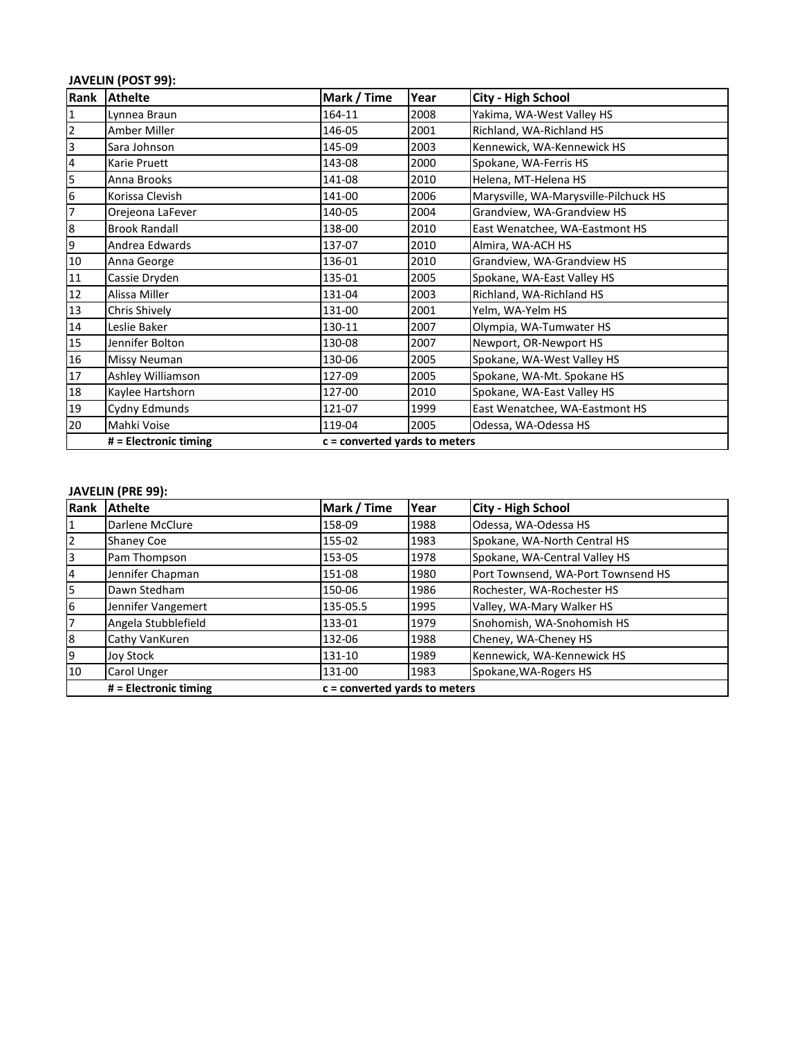## **JAVELIN (POST 99):**

| Rank           | <b>Athelte</b>        | Mark / Time                   | Year | City - High School                    |
|----------------|-----------------------|-------------------------------|------|---------------------------------------|
| $\mathbf{1}$   | Lynnea Braun          | 164-11                        | 2008 | Yakima, WA-West Valley HS             |
| $\mathbf 2$    | Amber Miller          | 146-05                        | 2001 | Richland, WA-Richland HS              |
| $\overline{3}$ | Sara Johnson          | 145-09                        | 2003 | Kennewick, WA-Kennewick HS            |
| 4              | Karie Pruett          | 143-08                        | 2000 | Spokane, WA-Ferris HS                 |
| 5              | Anna Brooks           | 141-08                        | 2010 | Helena, MT-Helena HS                  |
| 6              | Korissa Clevish       | 141-00                        | 2006 | Marysville, WA-Marysville-Pilchuck HS |
| 7              | Orejeona LaFever      | 140-05                        | 2004 | Grandview, WA-Grandview HS            |
| $\bf8$         | <b>Brook Randall</b>  | 138-00                        | 2010 | East Wenatchee, WA-Eastmont HS        |
| 9              | Andrea Edwards        | 137-07                        | 2010 | Almira, WA-ACH HS                     |
| $10\,$         | Anna George           | 136-01                        | 2010 | Grandview, WA-Grandview HS            |
| 11             | Cassie Dryden         | 135-01                        | 2005 | Spokane, WA-East Valley HS            |
| 12             | Alissa Miller         | 131-04                        | 2003 | Richland, WA-Richland HS              |
| 13             | Chris Shively         | 131-00                        | 2001 | Yelm, WA-Yelm HS                      |
| $14\,$         | Leslie Baker          | 130-11                        | 2007 | Olympia, WA-Tumwater HS               |
| 15             | Jennifer Bolton       | 130-08                        | 2007 | Newport, OR-Newport HS                |
| 16             | Missy Neuman          | 130-06                        | 2005 | Spokane, WA-West Valley HS            |
| 17             | Ashley Williamson     | 127-09                        | 2005 | Spokane, WA-Mt. Spokane HS            |
| 18             | Kaylee Hartshorn      | 127-00                        | 2010 | Spokane, WA-East Valley HS            |
| 19             | Cydny Edmunds         | 121-07                        | 1999 | East Wenatchee, WA-Eastmont HS        |
| 20             | Mahki Voise           | 119-04                        | 2005 | Odessa, WA-Odessa HS                  |
|                | # = Electronic timing | c = converted yards to meters |      |                                       |

#### **JAVELIN (PRE 99):**

| Rank | <b>Athelte</b>        | Mark / Time                     | Year | <b>City - High School</b>          |
|------|-----------------------|---------------------------------|------|------------------------------------|
|      | Darlene McClure       | 158-09                          | 1988 | Odessa, WA-Odessa HS               |
| 2    | <b>Shaney Coe</b>     | 155-02                          | 1983 | Spokane, WA-North Central HS       |
| 3    | Pam Thompson          | 153-05                          | 1978 | Spokane, WA-Central Valley HS      |
| 4    | Jennifer Chapman      | 151-08                          | 1980 | Port Townsend, WA-Port Townsend HS |
| 5    | Dawn Stedham          | 150-06                          | 1986 | Rochester, WA-Rochester HS         |
| 6    | Jennifer Vangemert    | 135-05.5                        | 1995 | Valley, WA-Mary Walker HS          |
| 17   | Angela Stubblefield   | 133-01                          | 1979 | Snohomish, WA-Snohomish HS         |
| 8    | Cathy VanKuren        | 132-06                          | 1988 | Cheney, WA-Cheney HS               |
| 9    | Joy Stock             | 131-10                          | 1989 | Kennewick, WA-Kennewick HS         |
| 10   | Carol Unger           | 131-00                          | 1983 | Spokane, WA-Rogers HS              |
|      | # = Electronic timing | $c =$ converted vards to meters |      |                                    |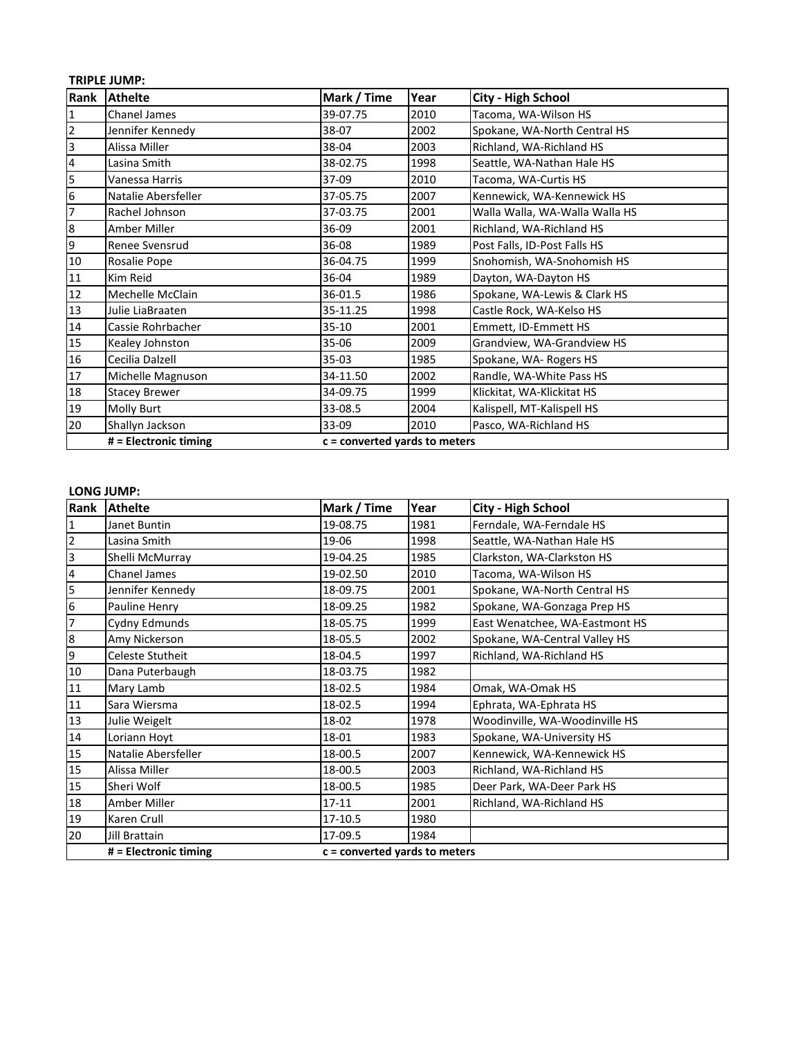## **TRIPLE JUMP:**

| Rank           | <b>Athelte</b>        | Mark / Time                     | Year | <b>City - High School</b>      |
|----------------|-----------------------|---------------------------------|------|--------------------------------|
| $\overline{1}$ | <b>Chanel James</b>   | 39-07.75                        | 2010 | Tacoma, WA-Wilson HS           |
| $\overline{2}$ | Jennifer Kennedy      | 38-07                           | 2002 | Spokane, WA-North Central HS   |
| $\overline{3}$ | Alissa Miller         | 38-04                           | 2003 | Richland, WA-Richland HS       |
| $\overline{4}$ | Lasina Smith          | 38-02.75                        | 1998 | Seattle, WA-Nathan Hale HS     |
| 5              | Vanessa Harris        | 37-09                           | 2010 | Tacoma, WA-Curtis HS           |
| 6              | Natalie Abersfeller   | 37-05.75                        | 2007 | Kennewick, WA-Kennewick HS     |
| 17             | Rachel Johnson        | 37-03.75                        | 2001 | Walla Walla, WA-Walla Walla HS |
| 8              | Amber Miller          | 36-09                           | 2001 | Richland, WA-Richland HS       |
| 9              | Renee Svensrud        | 36-08                           | 1989 | Post Falls, ID-Post Falls HS   |
| 10             | Rosalie Pope          | 36-04.75                        | 1999 | Snohomish, WA-Snohomish HS     |
| 11             | Kim Reid              | 36-04                           | 1989 | Dayton, WA-Dayton HS           |
| 12             | Mechelle McClain      | 36-01.5                         | 1986 | Spokane, WA-Lewis & Clark HS   |
| 13             | Julie LiaBraaten      | 35-11.25                        | 1998 | Castle Rock, WA-Kelso HS       |
| 14             | Cassie Rohrbacher     | 35-10                           | 2001 | Emmett, ID-Emmett HS           |
| 15             | Kealey Johnston       | 35-06                           | 2009 | Grandview, WA-Grandview HS     |
| 16             | Cecilia Dalzell       | $35-03$                         | 1985 | Spokane, WA-Rogers HS          |
| 17             | Michelle Magnuson     | 34-11.50                        | 2002 | Randle, WA-White Pass HS       |
| 18             | <b>Stacey Brewer</b>  | 34-09.75                        | 1999 | Klickitat, WA-Klickitat HS     |
| 19             | Molly Burt            | 33-08.5                         | 2004 | Kalispell, MT-Kalispell HS     |
| 20             | Shallyn Jackson       | 33-09                           | 2010 | Pasco, WA-Richland HS          |
|                | # = Electronic timing | $c =$ converted yards to meters |      |                                |

#### **LONG JUMP:**

| Rank            | <b>Athelte</b>          | Mark / Time                     | Year | <b>City - High School</b>      |  |
|-----------------|-------------------------|---------------------------------|------|--------------------------------|--|
| 1               | Janet Buntin            | 19-08.75                        | 1981 | Ferndale, WA-Ferndale HS       |  |
| $\mathbf 2$     | Lasina Smith            | 19-06                           | 1998 | Seattle, WA-Nathan Hale HS     |  |
| 3               | Shelli McMurray         | 19-04.25                        | 1985 | Clarkston, WA-Clarkston HS     |  |
| 4               | <b>Chanel James</b>     | 19-02.50                        | 2010 | Tacoma, WA-Wilson HS           |  |
| 5               | Jennifer Kennedy        | 18-09.75                        | 2001 | Spokane, WA-North Central HS   |  |
| $6\overline{6}$ | Pauline Henry           | 18-09.25                        | 1982 | Spokane, WA-Gonzaga Prep HS    |  |
| 7               | Cydny Edmunds           | 18-05.75                        | 1999 | East Wenatchee, WA-Eastmont HS |  |
| $\bf{8}$        | Amy Nickerson           | 18-05.5                         | 2002 | Spokane, WA-Central Valley HS  |  |
| 9               | Celeste Stutheit        | 18-04.5                         | 1997 | Richland, WA-Richland HS       |  |
| 10              | Dana Puterbaugh         | 18-03.75                        | 1982 |                                |  |
| 11              | Mary Lamb               | 18-02.5                         | 1984 | Omak, WA-Omak HS               |  |
| 11              | Sara Wiersma            | 18-02.5                         | 1994 | Ephrata, WA-Ephrata HS         |  |
| 13              | Julie Weigelt           | 18-02                           | 1978 | Woodinville, WA-Woodinville HS |  |
| 14              | Loriann Hoyt            | 18-01                           | 1983 | Spokane, WA-University HS      |  |
| 15              | Natalie Abersfeller     | 18-00.5                         | 2007 | Kennewick, WA-Kennewick HS     |  |
| 15              | Alissa Miller           | 18-00.5                         | 2003 | Richland, WA-Richland HS       |  |
| 15              | Sheri Wolf              | 18-00.5                         | 1985 | Deer Park, WA-Deer Park HS     |  |
| 18              | Amber Miller            | $17 - 11$                       | 2001 | Richland, WA-Richland HS       |  |
| 19              | Karen Crull             | 17-10.5                         | 1980 |                                |  |
| 20              | Jill Brattain           | 17-09.5                         | 1984 |                                |  |
|                 | $#$ = Electronic timing | $c =$ converted yards to meters |      |                                |  |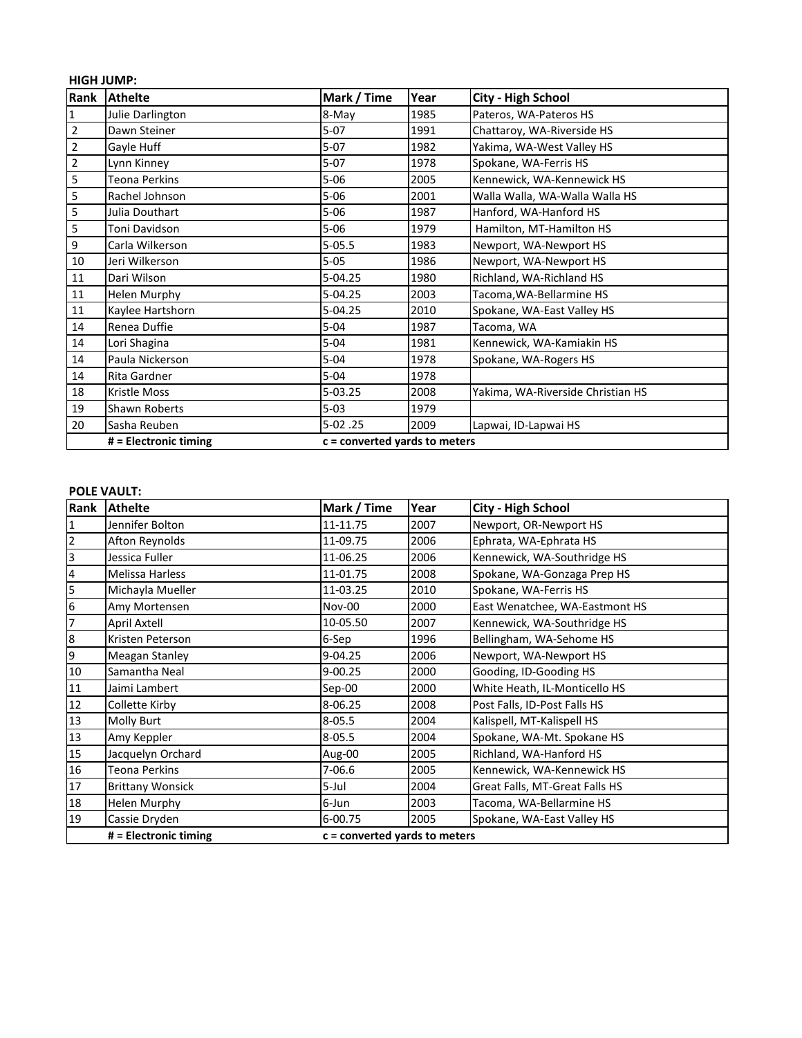|                | <b>HIGH JUMP:</b>     |                                 |      |                                   |  |  |  |
|----------------|-----------------------|---------------------------------|------|-----------------------------------|--|--|--|
| Rank           | <b>Athelte</b>        | Mark / Time                     | Year | <b>City - High School</b>         |  |  |  |
| 1              | Julie Darlington      | 8-May                           | 1985 | Pateros, WA-Pateros HS            |  |  |  |
| $\overline{2}$ | Dawn Steiner          | $5-07$                          | 1991 | Chattaroy, WA-Riverside HS        |  |  |  |
| $\mathbf 2$    | Gayle Huff            | $5-07$                          | 1982 | Yakima, WA-West Valley HS         |  |  |  |
| $\overline{2}$ | Lynn Kinney           | $5-07$                          | 1978 | Spokane, WA-Ferris HS             |  |  |  |
| 5              | <b>Teona Perkins</b>  | $5 - 06$                        | 2005 | Kennewick, WA-Kennewick HS        |  |  |  |
| 5              | Rachel Johnson        | $5 - 06$                        | 2001 | Walla Walla, WA-Walla Walla HS    |  |  |  |
| 5              | Julia Douthart        | $5 - 06$                        | 1987 | Hanford, WA-Hanford HS            |  |  |  |
| $\mathsf S$    | Toni Davidson         | $5 - 06$                        | 1979 | Hamilton, MT-Hamilton HS          |  |  |  |
| $\overline{9}$ | Carla Wilkerson       | $5 - 05.5$                      | 1983 | Newport, WA-Newport HS            |  |  |  |
| $10\,$         | Jeri Wilkerson        | $5 - 05$                        | 1986 | Newport, WA-Newport HS            |  |  |  |
| 11             | Dari Wilson           | $5 - 04.25$                     | 1980 | Richland, WA-Richland HS          |  |  |  |
| 11             | <b>Helen Murphy</b>   | 5-04.25                         | 2003 | Tacoma, WA-Bellarmine HS          |  |  |  |
| 11             | Kaylee Hartshorn      | 5-04.25                         | 2010 | Spokane, WA-East Valley HS        |  |  |  |
| 14             | Renea Duffie          | $5 - 04$                        | 1987 | Tacoma, WA                        |  |  |  |
| 14             | Lori Shagina          | $5 - 04$                        | 1981 | Kennewick, WA-Kamiakin HS         |  |  |  |
| 14             | Paula Nickerson       | $5 - 04$                        | 1978 | Spokane, WA-Rogers HS             |  |  |  |
| 14             | Rita Gardner          | $5 - 04$                        | 1978 |                                   |  |  |  |
| 18             | <b>Kristle Moss</b>   | $5 - 03.25$                     | 2008 | Yakima, WA-Riverside Christian HS |  |  |  |
| 19             | Shawn Roberts         | $5 - 03$                        | 1979 |                                   |  |  |  |
| 20             | Sasha Reuben          | $5-02.25$                       | 2009 | Lapwai, ID-Lapwai HS              |  |  |  |
|                | # = Electronic timing | $c =$ converted yards to meters |      |                                   |  |  |  |

## **POLE VAULT:**

| Rank                    | <b>Athelte</b>          | Mark / Time                     | Year | <b>City - High School</b>      |  |  |
|-------------------------|-------------------------|---------------------------------|------|--------------------------------|--|--|
| 1                       | Jennifer Bolton         | 11-11.75                        | 2007 | Newport, OR-Newport HS         |  |  |
| 2                       | Afton Reynolds          | 11-09.75                        | 2006 | Ephrata, WA-Ephrata HS         |  |  |
| $\overline{\mathbf{3}}$ | Jessica Fuller          | 11-06.25                        | 2006 | Kennewick, WA-Southridge HS    |  |  |
| 4                       | <b>Melissa Harless</b>  | 11-01.75                        | 2008 | Spokane, WA-Gonzaga Prep HS    |  |  |
| 5                       | Michayla Mueller        | 11-03.25                        | 2010 | Spokane, WA-Ferris HS          |  |  |
| $\boldsymbol{6}$        | Amy Mortensen           | Nov-00                          | 2000 | East Wenatchee, WA-Eastmont HS |  |  |
| $\overline{7}$          | April Axtell            | 10-05.50                        | 2007 | Kennewick, WA-Southridge HS    |  |  |
| $\bf 8$                 | Kristen Peterson        | 6-Sep                           | 1996 | Bellingham, WA-Sehome HS       |  |  |
| 9                       | Meagan Stanley          | $9 - 04.25$                     | 2006 | Newport, WA-Newport HS         |  |  |
| $10\,$                  | Samantha Neal           | 9-00.25                         | 2000 | Gooding, ID-Gooding HS         |  |  |
| 11                      | Jaimi Lambert           | Sep-00                          | 2000 | White Heath, IL-Monticello HS  |  |  |
| 12                      | Collette Kirby          | 8-06.25                         | 2008 | Post Falls, ID-Post Falls HS   |  |  |
| 13                      | Molly Burt              | $8 - 05.5$                      | 2004 | Kalispell, MT-Kalispell HS     |  |  |
| 13                      | Amy Keppler             | $8 - 05.5$                      | 2004 | Spokane, WA-Mt. Spokane HS     |  |  |
| 15                      | Jacquelyn Orchard       | Aug-00                          | 2005 | Richland, WA-Hanford HS        |  |  |
| 16                      | <b>Teona Perkins</b>    | $7 - 06.6$                      | 2005 | Kennewick, WA-Kennewick HS     |  |  |
| 17                      | <b>Brittany Wonsick</b> | 5-Jul                           | 2004 | Great Falls, MT-Great Falls HS |  |  |
| 18                      | <b>Helen Murphy</b>     | 6-Jun                           | 2003 | Tacoma, WA-Bellarmine HS       |  |  |
| 19                      | Cassie Dryden           | 6-00.75                         | 2005 | Spokane, WA-East Valley HS     |  |  |
|                         | # = Electronic timing   | $c =$ converted yards to meters |      |                                |  |  |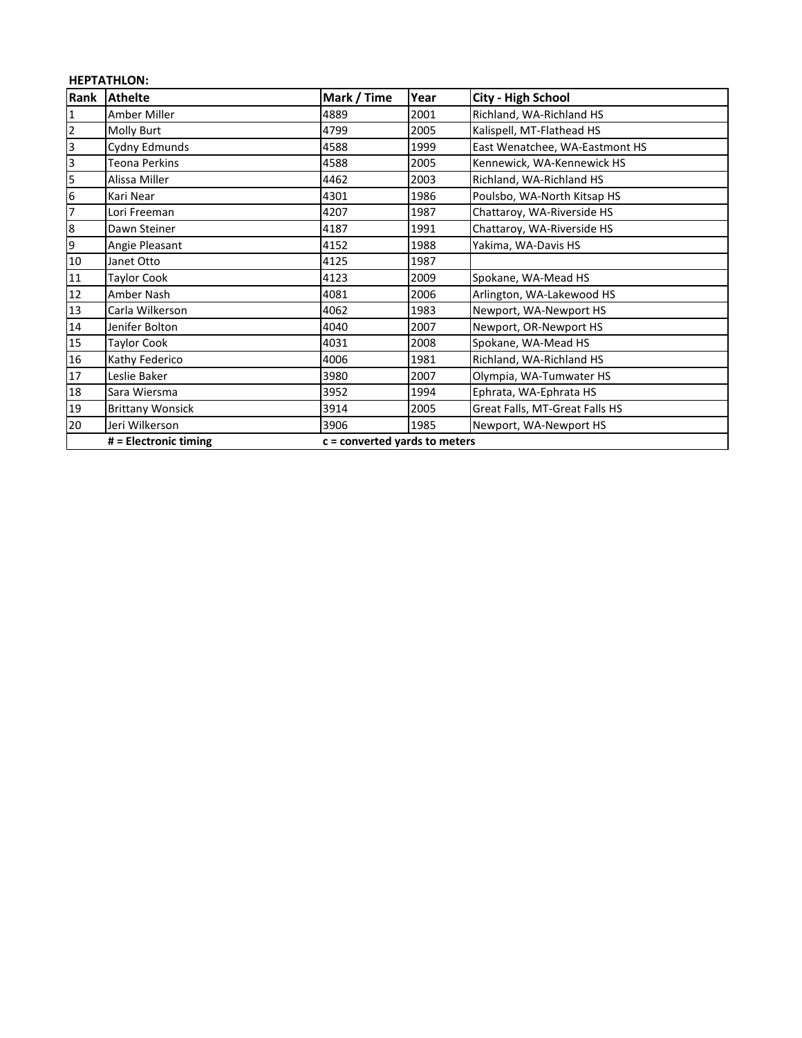## **HEPTATHLON:**

| Rank                    | <b>Athelte</b>          | Mark / Time                     | Year | <b>City - High School</b>      |
|-------------------------|-------------------------|---------------------------------|------|--------------------------------|
| $\overline{\mathbf{1}}$ | Amber Miller            | 4889                            | 2001 | Richland, WA-Richland HS       |
| 2                       | Molly Burt              | 4799                            | 2005 | Kalispell, MT-Flathead HS      |
| $\mathsf{3}$            | Cydny Edmunds           | 4588                            | 1999 | East Wenatchee, WA-Eastmont HS |
| 3                       | Teona Perkins           | 4588                            | 2005 | Kennewick, WA-Kennewick HS     |
| 5                       | Alissa Miller           | 4462                            | 2003 | Richland, WA-Richland HS       |
| 6                       | Kari Near               | 4301                            | 1986 | Poulsbo, WA-North Kitsap HS    |
| 7                       | Lori Freeman            | 4207                            | 1987 | Chattaroy, WA-Riverside HS     |
| $\boldsymbol{8}$        | Dawn Steiner            | 4187                            | 1991 | Chattaroy, WA-Riverside HS     |
| 9                       | Angie Pleasant          | 4152                            | 1988 | Yakima, WA-Davis HS            |
| 10                      | Janet Otto              | 4125                            | 1987 |                                |
| 11                      | Taylor Cook             | 4123                            | 2009 | Spokane, WA-Mead HS            |
| 12                      | Amber Nash              | 4081                            | 2006 | Arlington, WA-Lakewood HS      |
| 13                      | Carla Wilkerson         | 4062                            | 1983 | Newport, WA-Newport HS         |
| 14                      | Jenifer Bolton          | 4040                            | 2007 | Newport, OR-Newport HS         |
| 15                      | <b>Taylor Cook</b>      | 4031                            | 2008 | Spokane, WA-Mead HS            |
| 16                      | Kathy Federico          | 4006                            | 1981 | Richland, WA-Richland HS       |
| 17                      | Leslie Baker            | 3980                            | 2007 | Olympia, WA-Tumwater HS        |
| 18                      | Sara Wiersma            | 3952                            | 1994 | Ephrata, WA-Ephrata HS         |
| 19                      | <b>Brittany Wonsick</b> | 3914                            | 2005 | Great Falls, MT-Great Falls HS |
| 20                      | Jeri Wilkerson          | 3906                            | 1985 | Newport, WA-Newport HS         |
|                         | # = Electronic timing   | $c =$ converted yards to meters |      |                                |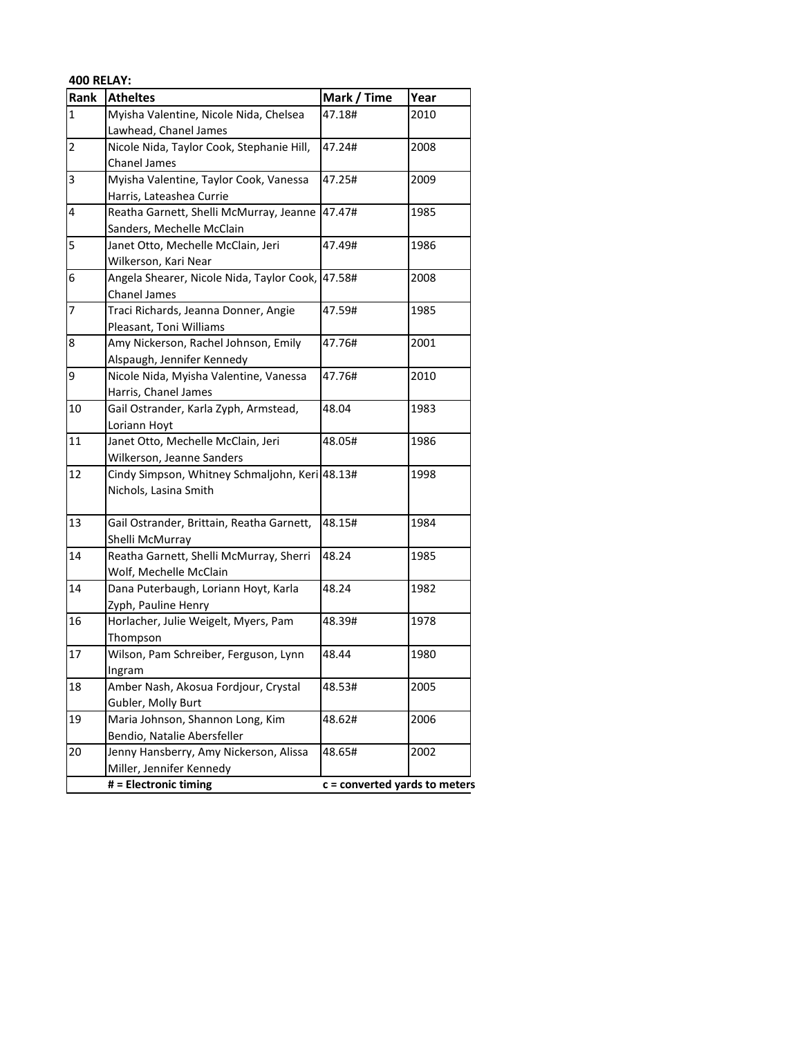| <b>400 RELAY:</b> |                                                |                               |      |
|-------------------|------------------------------------------------|-------------------------------|------|
| Rank              | <b>Atheltes</b>                                | Mark / Time                   | Year |
| $\mathbf{1}$      | Myisha Valentine, Nicole Nida, Chelsea         | 47.18#                        | 2010 |
|                   | Lawhead, Chanel James                          |                               |      |
| $\overline{2}$    | Nicole Nida, Taylor Cook, Stephanie Hill,      | 47.24#                        | 2008 |
|                   | <b>Chanel James</b>                            |                               |      |
| 3                 | Myisha Valentine, Taylor Cook, Vanessa         | 47.25#                        | 2009 |
|                   | Harris, Lateashea Currie                       |                               |      |
| 4                 | Reatha Garnett, Shelli McMurray, Jeanne        | 47.47#                        | 1985 |
|                   | Sanders, Mechelle McClain                      |                               |      |
| 5                 | Janet Otto, Mechelle McClain, Jeri             | 47.49#                        | 1986 |
|                   | Wilkerson, Kari Near                           |                               |      |
| 6                 | Angela Shearer, Nicole Nida, Taylor Cook,      | 47.58#                        | 2008 |
|                   | <b>Chanel James</b>                            |                               |      |
| $\overline{7}$    | Traci Richards, Jeanna Donner, Angie           | 47.59#                        | 1985 |
|                   | Pleasant, Toni Williams                        |                               |      |
| 8                 | Amy Nickerson, Rachel Johnson, Emily           | 47.76#                        | 2001 |
|                   | Alspaugh, Jennifer Kennedy                     |                               |      |
| 9                 | Nicole Nida, Myisha Valentine, Vanessa         | 47.76#                        | 2010 |
|                   | Harris, Chanel James                           |                               |      |
| 10                | Gail Ostrander, Karla Zyph, Armstead,          | 48.04                         | 1983 |
|                   | Loriann Hoyt                                   |                               |      |
| 11                | Janet Otto, Mechelle McClain, Jeri             | 48.05#                        | 1986 |
|                   | Wilkerson, Jeanne Sanders                      |                               |      |
| 12                | Cindy Simpson, Whitney Schmaljohn, Keri 48.13# |                               | 1998 |
|                   | Nichols, Lasina Smith                          |                               |      |
|                   |                                                |                               |      |
| 13                | Gail Ostrander, Brittain, Reatha Garnett,      | 48.15#                        | 1984 |
|                   | Shelli McMurray                                |                               |      |
| 14                | Reatha Garnett, Shelli McMurray, Sherri        | 48.24                         | 1985 |
|                   | Wolf, Mechelle McClain                         |                               |      |
| 14                | Dana Puterbaugh, Loriann Hoyt, Karla           | 48.24                         | 1982 |
|                   | Zyph, Pauline Henry                            |                               |      |
| 16                | Horlacher, Julie Weigelt, Myers, Pam           | 48.39#                        | 1978 |
|                   | Thompson                                       |                               |      |
| 17                | Wilson, Pam Schreiber, Ferguson, Lynn          | 48.44                         | 1980 |
|                   | Ingram                                         |                               |      |
| 18                | Amber Nash, Akosua Fordjour, Crystal           | 48.53#                        | 2005 |
|                   | Gubler, Molly Burt                             |                               |      |
| 19                | Maria Johnson, Shannon Long, Kim               | 48.62#                        | 2006 |
|                   | Bendio, Natalie Abersfeller                    |                               |      |
| 20                | Jenny Hansberry, Amy Nickerson, Alissa         | 48.65#                        | 2002 |
|                   | Miller, Jennifer Kennedy                       |                               |      |
|                   | # = Electronic timing                          | c = converted yards to meters |      |